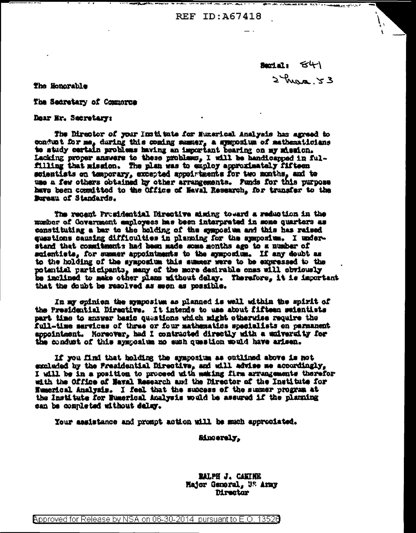**REF ID: A67418** 

Suctain  $54$  $2$  has  $3$ 

The Honorable

The Secretary of Commorce

Dear Mr. Secretary:

The Director of your Institute for Munerical Analysis has agreed to conduct for me, during this coming summer, a symposium of mathematicians to study certain problems having an important bearing on my mission. Lacking proper answers to these problems, I will be handicapped in fulfilling that mission. The plan was to employ approximately fifteen scientists on temporary, excepted appointments for two months, and to use a few others obtained by other arrangements. Funds for this purpose have been committed to the Office of Naval Research, for transfer to the Bureau of Standards.

The recent Prosidential Directive aiming toward a reduction in the mumber of Government employees has been interpreted in some quarters as constituting a har to the holding of the symposium and this has raised questions causing difficulties in planning for the symposium. I understand that commitments had been made some months ago to a number of scientists, for summer appointments to the symposium. If any doubt as to the holding of the symposium this summer were to be expressed to the potential participants, many of the more desirable ones will obviously be inclined to make other plans mithout delay. Therefore, it is important that the doubt be resolved as soon as possible.

In my opinion the symposium as planned is well within the spirit of the Presidential Directive. It intends to use about fifteen seientists part time to answer basic questions which might otherwise require the full-time services of thrae or four mathematics specialists on parmanent appointment. Moreover, had I contracted directly with a university for the conduct of this symposium no such question would have arisen.

If you find that holding the symposium as outlined above is not excluded by the Fresidential Directive, and will advise me accordingly, I will be in a position to proceed with making firm arrangements therefor with the Office of Naval Research and the Director of the Institute for Numerical Analysis. I feel that the success of the summer program at the Institute for Buserical Analysis would be assured if the planning san be completed without delay.

Your assistance and prompt action will be much approciated.

**Sincerely,** 

**RALPH J. CANTHE** Hajor General, US Army **Director** 

Approved for Release by NSA on 06-30-2014 pursuant to E.O. 13526